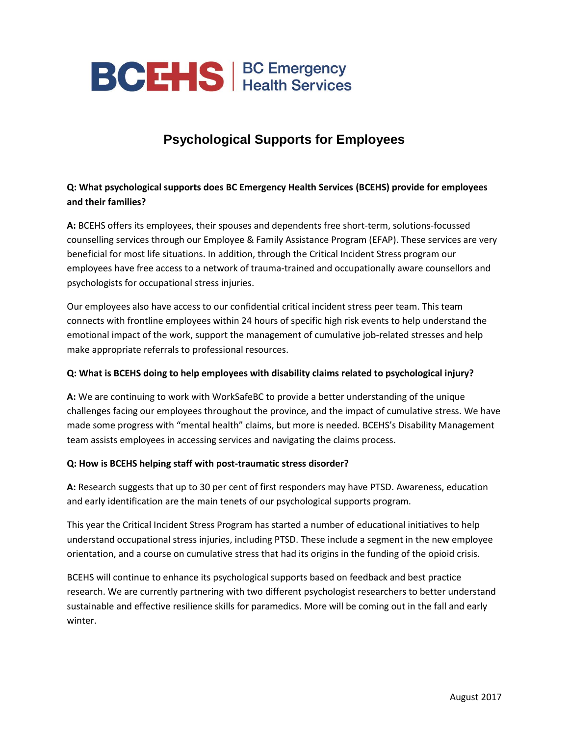

# **Psychological Supports for Employees**

## **Q: What psychological supports does BC Emergency Health Services (BCEHS) provide for employees and their families?**

**A:** BCEHS offers its employees, their spouses and dependents free short-term, solutions-focussed counselling services through our Employee & Family Assistance Program (EFAP). These services are very beneficial for most life situations. In addition, through the Critical Incident Stress program our employees have free access to a network of trauma-trained and occupationally aware counsellors and psychologists for occupational stress injuries.

Our employees also have access to our confidential critical incident stress peer team. This team connects with frontline employees within 24 hours of specific high risk events to help understand the emotional impact of the work, support the management of cumulative job-related stresses and help make appropriate referrals to professional resources.

#### **Q: What is BCEHS doing to help employees with disability claims related to psychological injury?**

**A:** We are continuing to work with WorkSafeBC to provide a better understanding of the unique challenges facing our employees throughout the province, and the impact of cumulative stress. We have made some progress with "mental health" claims, but more is needed. BCEHS's Disability Management team assists employees in accessing services and navigating the claims process.

#### **Q: How is BCEHS helping staff with post-traumatic stress disorder?**

**A:** Research suggests that up to 30 per cent of first responders may have PTSD. Awareness, education and early identification are the main tenets of our psychological supports program.

This year the Critical Incident Stress Program has started a number of educational initiatives to help understand occupational stress injuries, including PTSD. These include a segment in the new employee orientation, and a course on cumulative stress that had its origins in the funding of the opioid crisis.

BCEHS will continue to enhance its psychological supports based on feedback and best practice research. We are currently partnering with two different psychologist researchers to better understand sustainable and effective resilience skills for paramedics. More will be coming out in the fall and early winter.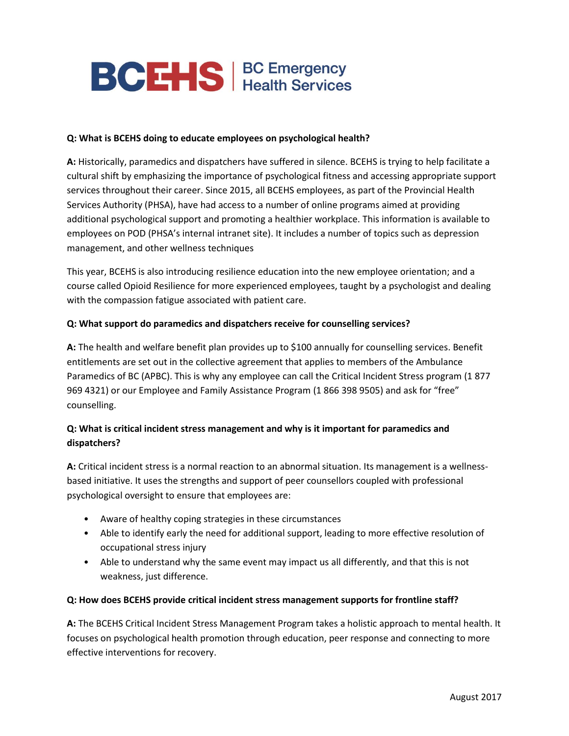

#### **Q: What is BCEHS doing to educate employees on psychological health?**

**A:** Historically, paramedics and dispatchers have suffered in silence. BCEHS is trying to help facilitate a cultural shift by emphasizing the importance of psychological fitness and accessing appropriate support services throughout their career. Since 2015, all BCEHS employees, as part of the Provincial Health Services Authority (PHSA), have had access to a number of online programs aimed at providing additional psychological support and promoting a healthier workplace. This information is available to employees on POD (PHSA's internal intranet site). It includes a number of topics such as depression management, and other wellness techniques

This year, BCEHS is also introducing resilience education into the new employee orientation; and a course called Opioid Resilience for more experienced employees, taught by a psychologist and dealing with the compassion fatigue associated with patient care.

#### **Q: What support do paramedics and dispatchers receive for counselling services?**

**A:** The health and welfare benefit plan provides up to \$100 annually for counselling services. Benefit entitlements are set out in the collective agreement that applies to members of the Ambulance Paramedics of BC (APBC). This is why any employee can call the Critical Incident Stress program (1 877 969 4321) or our Employee and Family Assistance Program (1 866 398 9505) and ask for "free" counselling.

### **Q: What is critical incident stress management and why is it important for paramedics and dispatchers?**

**A:** Critical incident stress is a normal reaction to an abnormal situation. Its management is a wellnessbased initiative. It uses the strengths and support of peer counsellors coupled with professional psychological oversight to ensure that employees are:

- Aware of healthy coping strategies in these circumstances
- Able to identify early the need for additional support, leading to more effective resolution of occupational stress injury
- Able to understand why the same event may impact us all differently, and that this is not weakness, just difference.

#### **Q: How does BCEHS provide critical incident stress management supports for frontline staff?**

**A:** The BCEHS Critical Incident Stress Management Program takes a holistic approach to mental health. It focuses on psychological health promotion through education, peer response and connecting to more effective interventions for recovery.